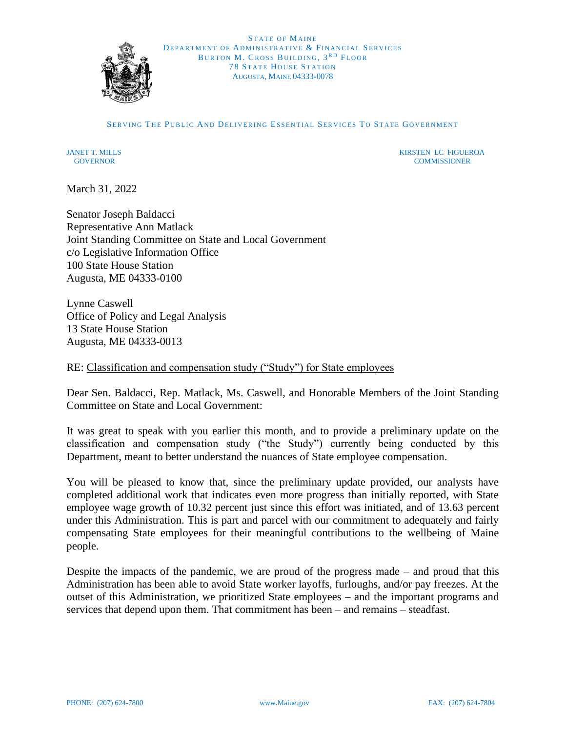

STATE OF MAINE DEPARTMENT OF ADMINISTRATIVE & FINANCIAL SERVICES BURTON M. CROSS BUILDING, 3RD FLOOR **78 STATE HOUSE STATION** AUGUSTA, MAINE 04333-0078

SERVING THE PUBLIC AND DELIVERING ESSENTIAL SERVICES TO STATE GOVERNMENT

JANET T. MILLS AND THE STATE OF THE STATE OF THE STATE OF THE STATE OF THE STATE OF THE STATE OF THE STATE OF THE STATE OF THE STATE OF THE STATE OF THE STATE OF THE STATE OF THE STATE OF THE STATE OF THE STATE OF THE STAT GOVERNOR COMMISSIONER

March 31, 2022

Senator Joseph Baldacci Representative Ann Matlack Joint Standing Committee on State and Local Government c/o Legislative Information Office 100 State House Station Augusta, ME 04333-0100

Lynne Caswell Office of Policy and Legal Analysis 13 State House Station Augusta, ME 04333-0013

RE: Classification and compensation study ("Study") for State employees

Dear Sen. Baldacci, Rep. Matlack, Ms. Caswell, and Honorable Members of the Joint Standing Committee on State and Local Government:

It was great to speak with you earlier this month, and to provide a preliminary update on the classification and compensation study ("the Study") currently being conducted by this Department, meant to better understand the nuances of State employee compensation.

You will be pleased to know that, since the preliminary update provided, our analysts have completed additional work that indicates even more progress than initially reported, with State employee wage growth of 10.32 percent just since this effort was initiated, and of 13.63 percent under this Administration. This is part and parcel with our commitment to adequately and fairly compensating State employees for their meaningful contributions to the wellbeing of Maine people.

Despite the impacts of the pandemic, we are proud of the progress made – and proud that this Administration has been able to avoid State worker layoffs, furloughs, and/or pay freezes. At the outset of this Administration, we prioritized State employees – and the important programs and services that depend upon them. That commitment has been – and remains – steadfast.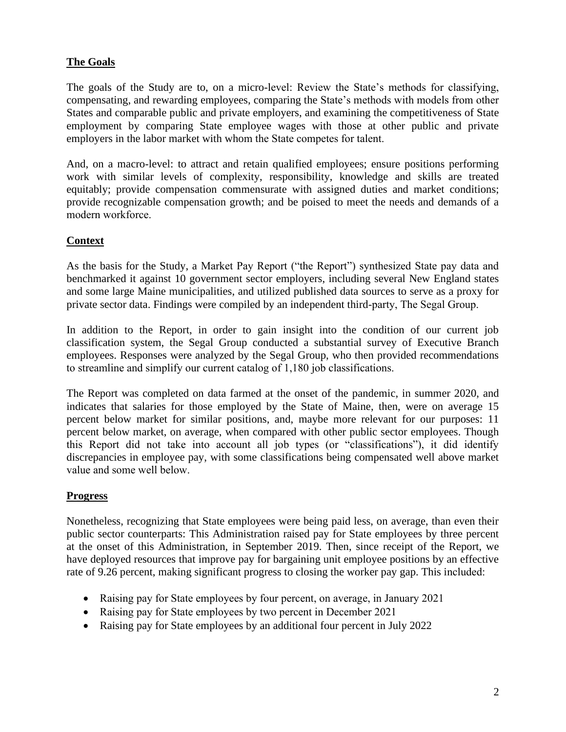### **The Goals**

The goals of the Study are to, on a micro-level: Review the State's methods for classifying, compensating, and rewarding employees, comparing the State's methods with models from other States and comparable public and private employers, and examining the competitiveness of State employment by comparing State employee wages with those at other public and private employers in the labor market with whom the State competes for talent. 

And, on a macro-level: to attract and retain qualified employees; ensure positions performing work with similar levels of complexity, responsibility, knowledge and skills are treated equitably; provide compensation commensurate with assigned duties and market conditions; provide recognizable compensation growth; and be poised to meet the needs and demands of a modern workforce. 

#### **Context**

As the basis for the Study, a Market Pay Report ("the Report") synthesized State pay data and benchmarked it against 10 government sector employers, including several New England states and some large Maine municipalities, and utilized published data sources to serve as a proxy for private sector data. Findings were compiled by an independent third-party, The Segal Group.  

In addition to the Report, in order to gain insight into the condition of our current job classification system, the Segal Group conducted a substantial survey of Executive Branch employees. Responses were analyzed by the Segal Group, who then provided recommendations to streamline and simplify our current catalog of 1,180 job classifications. 

The Report was completed on data farmed at the onset of the pandemic, in summer 2020, and indicates that salaries for those employed by the State of Maine, then, were on average 15 percent below market for similar positions, and, maybe more relevant for our purposes: 11 percent below market, on average, when compared with other public sector employees. Though this Report did not take into account all job types (or "classifications"), it did identify discrepancies in employee pay, with some classifications being compensated well above market value and some well below. 

#### **Progress**

Nonetheless, recognizing that State employees were being paid less, on average, than even their public sector counterparts: This Administration raised pay for State employees by three percent at the onset of this Administration, in September 2019. Then, since receipt of the Report, we have deployed resources that improve pay for bargaining unit employee positions by an effective rate of 9.26 percent, making significant progress to closing the worker pay gap. This included: 

- Raising pay for State employees by four percent, on average, in January 2021
- Raising pay for State employees by two percent in December 2021
- Raising pay for State employees by an additional four percent in July 2022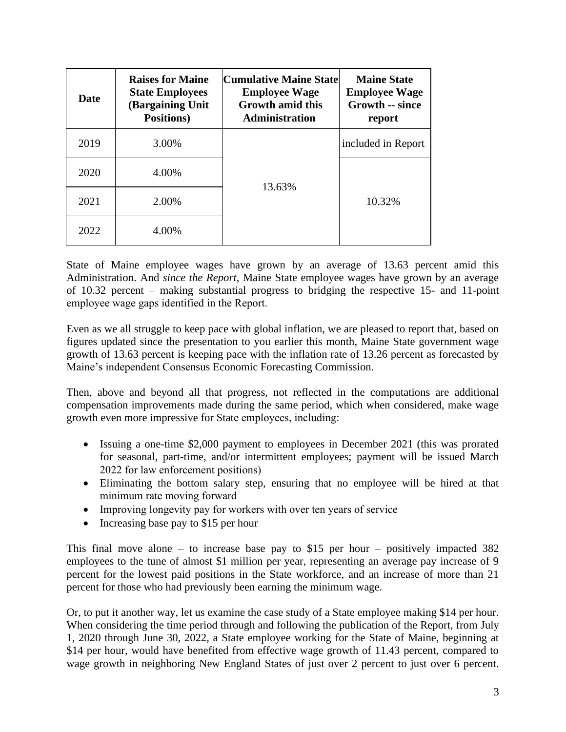| <b>Date</b> | <b>Raises for Maine</b><br><b>State Employees</b><br>(Bargaining Unit<br>Positions) | Cumulative Maine State <br><b>Employee Wage</b><br><b>Growth amid this</b><br><b>Administration</b> | <b>Maine State</b><br><b>Employee Wage</b><br><b>Growth -- since</b><br>report |
|-------------|-------------------------------------------------------------------------------------|-----------------------------------------------------------------------------------------------------|--------------------------------------------------------------------------------|
| 2019        | 3.00%                                                                               |                                                                                                     | included in Report                                                             |
| 2020        | 4.00%                                                                               | 13.63%                                                                                              |                                                                                |
| 2021        | 2.00%                                                                               |                                                                                                     | 10.32%                                                                         |
| 2022        | 4.00%                                                                               |                                                                                                     |                                                                                |

State of Maine employee wages have grown by an average of 13.63 percent amid this Administration. And *since the Report*, Maine State employee wages have grown by an average of 10.32 percent – making substantial progress to bridging the respective 15- and 11-point employee wage gaps identified in the Report. 

Even as we all struggle to keep pace with global inflation, we are pleased to report that, based on figures updated since the presentation to you earlier this month, Maine State government wage growth of 13.63 percent is keeping pace with the inflation rate of 13.26 percent as forecasted by Maine's independent Consensus Economic Forecasting Commission.

Then, above and beyond all that progress, not reflected in the computations are additional compensation improvements made during the same period, which when considered, make wage growth even more impressive for State employees, including: 

- Issuing a one-time \$2,000 payment to employees in December 2021 (this was prorated for seasonal, part-time, and/or intermittent employees; payment will be issued March 2022 for law enforcement positions)
- Eliminating the bottom salary step, ensuring that no employee will be hired at that minimum rate moving forward
- Improving longevity pay for workers with over ten years of service
- Increasing base pay to \$15 per hour

This final move alone – to increase base pay to \$15 per hour – positively impacted  $382$ employees to the tune of almost \$1 million per year, representing an average pay increase of 9 percent for the lowest paid positions in the State workforce, and an increase of more than 21 percent for those who had previously been earning the minimum wage.

Or, to put it another way, let us examine the case study of a State employee making \$14 per hour. When considering the time period through and following the publication of the Report, from July 1, 2020 through June 30, 2022, a State employee working for the State of Maine, beginning at \$14 per hour, would have benefited from effective wage growth of 11.43 percent, compared to wage growth in neighboring New England States of just over 2 percent to just over 6 percent.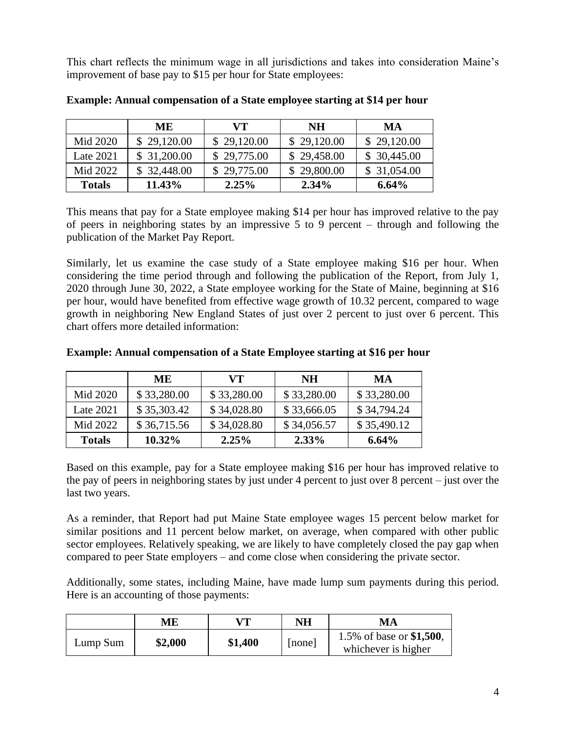This chart reflects the minimum wage in all jurisdictions and takes into consideration Maine's improvement of base pay to \$15 per hour for State employees:

|               | ME.         | VT)         | NH          | MA          |
|---------------|-------------|-------------|-------------|-------------|
| Mid 2020      | \$29,120.00 | \$29,120.00 | \$29,120.00 | \$29,120.00 |
| Late $2021$   | \$31,200.00 | \$29,775.00 | \$29,458.00 | \$30,445.00 |
| Mid 2022      | \$32,448.00 | \$29,775.00 | \$29,800.00 | \$31,054.00 |
| <b>Totals</b> | 11.43%      | $2.25\%$    | $2.34\%$    | $6.64\%$    |

**Example: Annual compensation of a State employee starting at \$14 per hour**

This means that pay for a State employee making \$14 per hour has improved relative to the pay of peers in neighboring states by an impressive 5 to 9 percent – through and following the publication of the Market Pay Report.

Similarly, let us examine the case study of a State employee making \$16 per hour. When considering the time period through and following the publication of the Report, from July 1, 2020 through June 30, 2022, a State employee working for the State of Maine, beginning at \$16 per hour, would have benefited from effective wage growth of 10.32 percent, compared to wage growth in neighboring New England States of just over 2 percent to just over 6 percent. This chart offers more detailed information:

|  |  |  |  |  | <b>Example: Annual compensation of a State Employee starting at \$16 per hour</b> |
|--|--|--|--|--|-----------------------------------------------------------------------------------|
|--|--|--|--|--|-----------------------------------------------------------------------------------|

|               | <b>ME</b>   | VT)         | <b>NH</b>   | MA          |
|---------------|-------------|-------------|-------------|-------------|
| Mid 2020      | \$33,280.00 | \$33,280.00 | \$33,280.00 | \$33,280.00 |
| Late 2021     | \$35,303.42 | \$34,028.80 | \$33,666.05 | \$34,794.24 |
| Mid 2022      | \$36,715.56 | \$34,028.80 | \$34,056.57 | \$35,490.12 |
| <b>Totals</b> | $10.32\%$   | 2.25%       | $2.33\%$    | $6.64\%$    |

Based on this example, pay for a State employee making \$16 per hour has improved relative to the pay of peers in neighboring states by just under 4 percent to just over 8 percent – just over the last two years.

As a reminder, that Report had put Maine State employee wages 15 percent below market for similar positions and 11 percent below market, on average, when compared with other public sector employees. Relatively speaking, we are likely to have completely closed the pay gap when compared to peer State employers – and come close when considering the private sector.

Additionally, some states, including Maine, have made lump sum payments during this period. Here is an accounting of those payments:

|          | MЕ      | VT.     | NΗ   | MA                                              |
|----------|---------|---------|------|-------------------------------------------------|
| Lump Sum | \$2,000 | \$1,400 | none | 1.5% of base or \$1,500,<br>whichever is higher |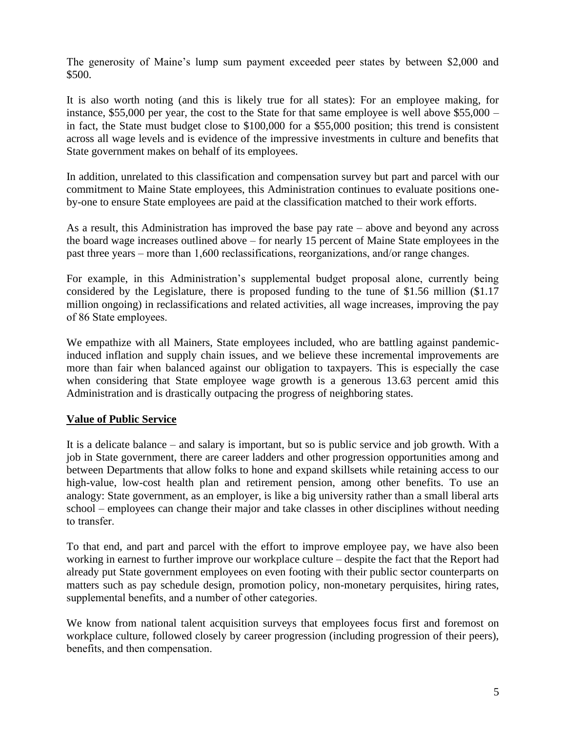The generosity of Maine's lump sum payment exceeded peer states by between \$2,000 and \$500.

It is also worth noting (and this is likely true for all states): For an employee making, for instance, \$55,000 per year, the cost to the State for that same employee is well above \$55,000 – in fact, the State must budget close to \$100,000 for a \$55,000 position; this trend is consistent across all wage levels and is evidence of the impressive investments in culture and benefits that State government makes on behalf of its employees.

In addition, unrelated to this classification and compensation survey but part and parcel with our commitment to Maine State employees, this Administration continues to evaluate positions oneby-one to ensure State employees are paid at the classification matched to their work efforts.

As a result, this Administration has improved the base pay rate – above and beyond any across the board wage increases outlined above – for nearly 15 percent of Maine State employees in the past three years – more than 1,600 reclassifications, reorganizations, and/or range changes.  

For example, in this Administration's supplemental budget proposal alone, currently being considered by the Legislature, there is proposed funding to the tune of \$1.56 million (\$1.17 million ongoing) in reclassifications and related activities, all wage increases, improving the pay of 86 State employees. 

We empathize with all Mainers, State employees included, who are battling against pandemicinduced inflation and supply chain issues, and we believe these incremental improvements are more than fair when balanced against our obligation to taxpayers. This is especially the case when considering that State employee wage growth is a generous 13.63 percent amid this Administration and is drastically outpacing the progress of neighboring states.

#### **Value of Public Service**

It is a delicate balance – and salary is important, but so is public service and job growth. With a job in State government, there are career ladders and other progression opportunities among and between Departments that allow folks to hone and expand skillsets while retaining access to our high-value, low-cost health plan and retirement pension, among other benefits. To use an analogy: State government, as an employer, is like a big university rather than a small liberal arts school – employees can change their major and take classes in other disciplines without needing to transfer. 

To that end, and part and parcel with the effort to improve employee pay, we have also been working in earnest to further improve our workplace culture – despite the fact that the Report had already put State government employees on even footing with their public sector counterparts on matters such as pay schedule design, promotion policy, non-monetary perquisites, hiring rates, supplemental benefits, and a number of other categories.  

We know from national talent acquisition surveys that employees focus first and foremost on workplace culture, followed closely by career progression (including progression of their peers), benefits, and then compensation.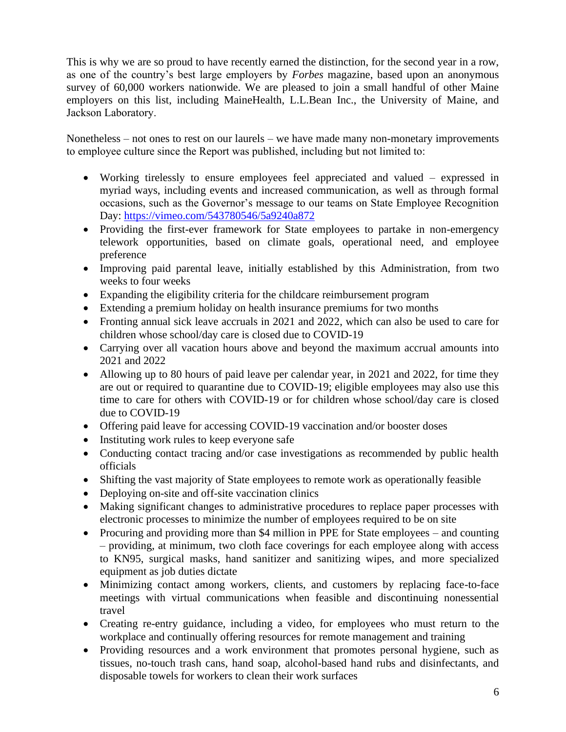This is why we are so proud to have recently earned the distinction, for the second year in a row, as one of the country's best large employers by *Forbes* magazine, based upon an anonymous survey of 60,000 workers nationwide. We are pleased to join a small handful of other Maine employers on this list, including MaineHealth, L.L.Bean Inc., the University of Maine, and Jackson Laboratory. 

Nonetheless – not ones to rest on our laurels – we have made many non-monetary improvements to employee culture since the Report was published, including but not limited to: 

- Working tirelessly to ensure employees feel appreciated and valued expressed in myriad ways, including events and increased communication, as well as through formal occasions, such as the Governor's message to our teams on State Employee Recognition Day:<https://vimeo.com/543780546/5a9240a872>
- Providing the first-ever framework for State employees to partake in non-emergency telework opportunities, based on climate goals, operational need, and employee preference
- Improving paid parental leave, initially established by this Administration, from two weeks to four weeks
- Expanding the eligibility criteria for the childcare reimbursement program
- Extending a premium holiday on health insurance premiums for two months
- Fronting annual sick leave accruals in 2021 and 2022, which can also be used to care for children whose school/day care is closed due to COVID-19
- Carrying over all vacation hours above and beyond the maximum accrual amounts into 2021 and 2022
- Allowing up to 80 hours of paid leave per calendar year, in 2021 and 2022, for time they are out or required to quarantine due to COVID-19; eligible employees may also use this time to care for others with COVID-19 or for children whose school/day care is closed due to COVID-19
- Offering paid leave for accessing COVID-19 vaccination and/or booster doses
- Instituting work rules to keep everyone safe
- Conducting contact tracing and/or case investigations as recommended by public health officials
- Shifting the vast majority of State employees to remote work as operationally feasible
- Deploying on-site and off-site vaccination clinics
- Making significant changes to administrative procedures to replace paper processes with electronic processes to minimize the number of employees required to be on site
- Procuring and providing more than \$4 million in PPE for State employees and counting – providing, at minimum, two cloth face coverings for each employee along with access to KN95, surgical masks, hand sanitizer and sanitizing wipes, and more specialized equipment as job duties dictate
- Minimizing contact among workers, clients, and customers by replacing face-to-face meetings with virtual communications when feasible and discontinuing nonessential travel
- Creating re-entry guidance, including a video, for employees who must return to the workplace and continually offering resources for remote management and training
- Providing resources and a work environment that promotes personal hygiene, such as tissues, no-touch trash cans, hand soap, alcohol-based hand rubs and disinfectants, and disposable towels for workers to clean their work surfaces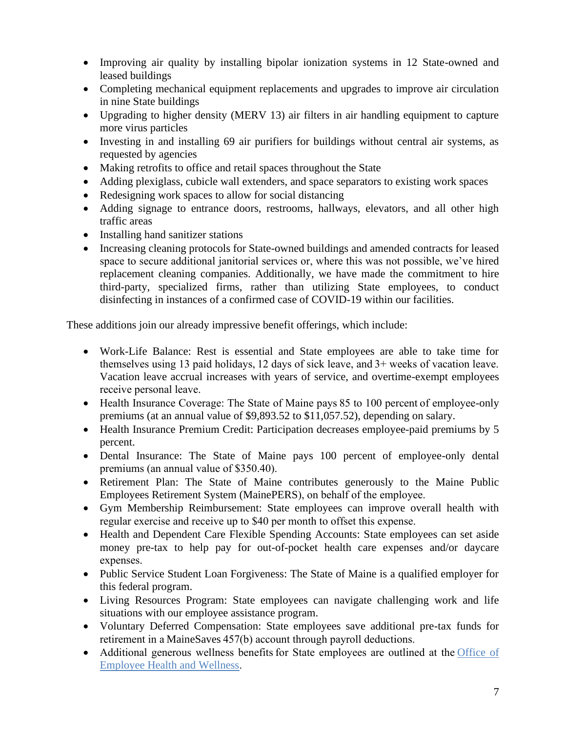- Improving air quality by installing bipolar ionization systems in 12 State-owned and leased buildings
- Completing mechanical equipment replacements and upgrades to improve air circulation in nine State buildings
- Upgrading to higher density (MERV 13) air filters in air handling equipment to capture more virus particles
- Investing in and installing 69 air purifiers for buildings without central air systems, as requested by agencies
- Making retrofits to office and retail spaces throughout the State
- Adding plexiglass, cubicle wall extenders, and space separators to existing work spaces
- Redesigning work spaces to allow for social distancing
- Adding signage to entrance doors, restrooms, hallways, elevators, and all other high traffic areas
- Installing hand sanitizer stations
- Increasing cleaning protocols for State-owned buildings and amended contracts for leased space to secure additional janitorial services or, where this was not possible, we've hired replacement cleaning companies. Additionally, we have made the commitment to hire third-party, specialized firms, rather than utilizing State employees, to conduct disinfecting in instances of a confirmed case of COVID-19 within our facilities.

These additions join our already impressive benefit offerings, which include:

- Work-Life Balance: Rest is essential and State employees are able to take time for themselves using 13 paid holidays, 12 days of sick leave, and 3+ weeks of vacation leave. Vacation leave accrual increases with years of service, and overtime-exempt employees receive personal leave.
- Health Insurance Coverage: The State of Maine pays 85 to 100 percent of employee-only premiums (at an annual value of \$9,893.52 to \$11,057.52), depending on salary.
- Health Insurance Premium Credit: Participation decreases employee-paid premiums by 5 percent.
- Dental Insurance: The State of Maine pays 100 percent of employee-only dental premiums (an annual value of \$350.40).
- Retirement Plan: The State of Maine contributes generously to the Maine Public Employees Retirement System (MainePERS), on behalf of the employee.
- Gym Membership Reimbursement: State employees can improve overall health with regular exercise and receive up to \$40 per month to offset this expense.
- Health and Dependent Care Flexible Spending Accounts: State employees can set aside money pre-tax to help pay for out-of-pocket health care expenses and/or daycare expenses.
- Public Service Student Loan Forgiveness: The State of Maine is a qualified employer for this federal program.
- Living Resources Program: State employees can navigate challenging work and life situations with our employee assistance program.
- Voluntary Deferred Compensation: State employees save additional pre-tax funds for retirement in a MaineSaves 457(b) account through payroll deductions.
- Additional generous wellness benefits for State employees are outlined at the Office of [Employee Health and Wellness.](https://gcc02.safelinks.protection.outlook.com/?url=https%3A%2F%2Fwww.maine.gov%2Fbhr%2Foeh%2F&data=04%7C01%7CClint.Peebles%40maine.gov%7C8c61d186fa73454ee17708d9d56f4445%7C413fa8ab207d4b629bcdea1a8f2f864e%7C0%7C0%7C637775496292831197%7CUnknown%7CTWFpbGZsb3d8eyJWIjoiMC4wLjAwMDAiLCJQIjoiV2luMzIiLCJBTiI6Ik1haWwiLCJXVCI6Mn0%3D%7C3000&sdata=oJ9O5LLzRza4vI%2Bo0Ocn59qnHrxNhs5SZwkOX8D26W8%3D&reserved=0)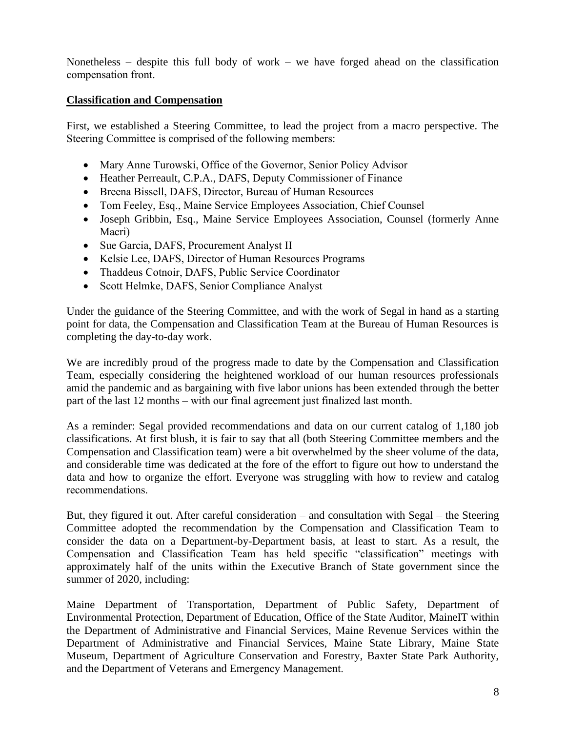Nonetheless – despite this full body of work – we have forged ahead on the classification compensation front. 

#### **Classification and Compensation**

First, we established a Steering Committee, to lead the project from a macro perspective. The Steering Committee is comprised of the following members: 

- Mary Anne Turowski, Office of the Governor, Senior Policy Advisor
- Heather Perreault, C.P.A., DAFS, Deputy Commissioner of Finance
- Breena Bissell, DAFS, Director, Bureau of Human Resources
- Tom Feeley, Esq., Maine Service Employees Association, Chief Counsel
- Joseph Gribbin, Esq., Maine Service Employees Association, Counsel (formerly Anne Macri)
- Sue Garcia, DAFS, Procurement Analyst II
- Kelsie Lee, DAFS, Director of Human Resources Programs
- Thaddeus Cotnoir, DAFS, Public Service Coordinator
- Scott Helmke, DAFS, Senior Compliance Analyst

Under the guidance of the Steering Committee, and with the work of Segal in hand as a starting point for data, the Compensation and Classification Team at the Bureau of Human Resources is completing the day-to-day work. 

We are incredibly proud of the progress made to date by the Compensation and Classification Team, especially considering the heightened workload of our human resources professionals amid the pandemic and as bargaining with five labor unions has been extended through the better part of the last 12 months – with our final agreement just finalized last month.  

As a reminder: Segal provided recommendations and data on our current catalog of 1,180 job classifications. At first blush, it is fair to say that all (both Steering Committee members and the Compensation and Classification team) were a bit overwhelmed by the sheer volume of the data, and considerable time was dedicated at the fore of the effort to figure out how to understand the data and how to organize the effort. Everyone was struggling with how to review and catalog recommendations.  

But, they figured it out. After careful consideration – and consultation with Segal – the Steering Committee adopted the recommendation by the Compensation and Classification Team to consider the data on a Department-by-Department basis, at least to start. As a result, the Compensation and Classification Team has held specific "classification" meetings with approximately half of the units within the Executive Branch of State government since the summer of 2020, including:

Maine Department of Transportation, Department of Public Safety, Department of Environmental Protection, Department of Education, Office of the State Auditor, MaineIT within the Department of Administrative and Financial Services, Maine Revenue Services within the Department of Administrative and Financial Services, Maine State Library, Maine State Museum, Department of Agriculture Conservation and Forestry, Baxter State Park Authority, and the Department of Veterans and Emergency Management.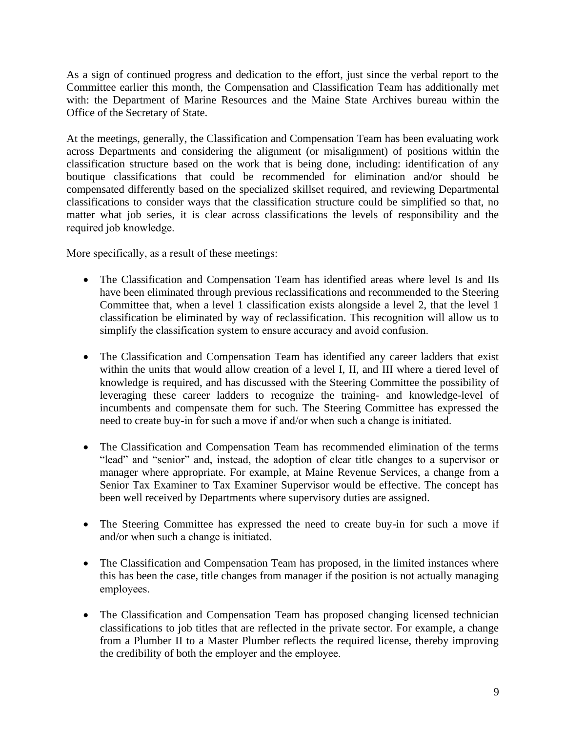As a sign of continued progress and dedication to the effort, just since the verbal report to the Committee earlier this month, the Compensation and Classification Team has additionally met with: the Department of Marine Resources and the Maine State Archives bureau within the Office of the Secretary of State.

At the meetings, generally, the Classification and Compensation Team has been evaluating work across Departments and considering the alignment (or misalignment) of positions within the classification structure based on the work that is being done, including: identification of any boutique classifications that could be recommended for elimination and/or should be compensated differently based on the specialized skillset required, and reviewing Departmental classifications to consider ways that the classification structure could be simplified so that, no matter what job series, it is clear across classifications the levels of responsibility and the required job knowledge.  

More specifically, as a result of these meetings: 

- The Classification and Compensation Team has identified areas where level Is and IIs have been eliminated through previous reclassifications and recommended to the Steering Committee that, when a level 1 classification exists alongside a level 2, that the level 1 classification be eliminated by way of reclassification. This recognition will allow us to simplify the classification system to ensure accuracy and avoid confusion.
- The Classification and Compensation Team has identified any career ladders that exist within the units that would allow creation of a level I, II, and III where a tiered level of knowledge is required, and has discussed with the Steering Committee the possibility of leveraging these career ladders to recognize the training- and knowledge-level of incumbents and compensate them for such. The Steering Committee has expressed the need to create buy-in for such a move if and/or when such a change is initiated.
- The Classification and Compensation Team has recommended elimination of the terms "lead" and "senior" and, instead, the adoption of clear title changes to a supervisor or manager where appropriate. For example, at Maine Revenue Services, a change from a Senior Tax Examiner to Tax Examiner Supervisor would be effective. The concept has been well received by Departments where supervisory duties are assigned.
- The Steering Committee has expressed the need to create buy-in for such a move if and/or when such a change is initiated.
- The Classification and Compensation Team has proposed, in the limited instances where this has been the case, title changes from manager if the position is not actually managing employees.
- The Classification and Compensation Team has proposed changing licensed technician classifications to job titles that are reflected in the private sector. For example, a change from a Plumber II to a Master Plumber reflects the required license, thereby improving the credibility of both the employer and the employee.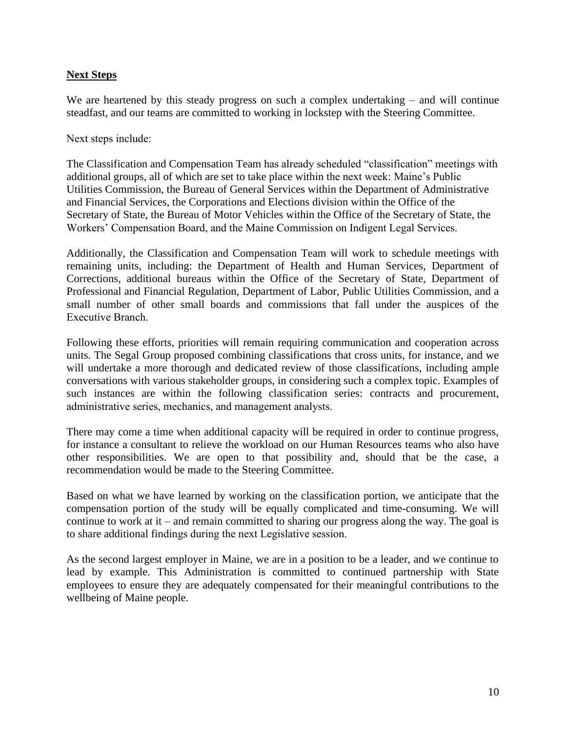#### **Next Steps**

We are heartened by this steady progress on such a complex undertaking – and will continue steadfast, and our teams are committed to working in lockstep with the Steering Committee.

Next steps include: 

The Classification and Compensation Team has already scheduled "classification" meetings with additional groups, all of which are set to take place within the next week: Maine's Public Utilities Commission, the Bureau of General Services within the Department of Administrative and Financial Services, the Corporations and Elections division within the Office of the Secretary of State, the Bureau of Motor Vehicles within the Office of the Secretary of State, the Workers' Compensation Board, and the Maine Commission on Indigent Legal Services.

Additionally, the Classification and Compensation Team will work to schedule meetings with remaining units, including: the Department of Health and Human Services, Department of Corrections, additional bureaus within the Office of the Secretary of State, Department of Professional and Financial Regulation, Department of Labor, Public Utilities Commission, and a small number of other small boards and commissions that fall under the auspices of the Executive Branch. 

Following these efforts, priorities will remain requiring communication and cooperation across units. The Segal Group proposed combining classifications that cross units, for instance, and we will undertake a more thorough and dedicated review of those classifications, including ample conversations with various stakeholder groups, in considering such a complex topic. Examples of such instances are within the following classification series: contracts and procurement, administrative series, mechanics, and management analysts.   

There may come a time when additional capacity will be required in order to continue progress, for instance a consultant to relieve the workload on our Human Resources teams who also have other responsibilities. We are open to that possibility and, should that be the case, a recommendation would be made to the Steering Committee.

Based on what we have learned by working on the classification portion, we anticipate that the compensation portion of the study will be equally complicated and time-consuming. We will continue to work at it – and remain committed to sharing our progress along the way. The goal is to share additional findings during the next Legislative session. 

As the second largest employer in Maine, we are in a position to be a leader, and we continue to lead by example. This Administration is committed to continued partnership with State employees to ensure they are adequately compensated for their meaningful contributions to the wellbeing of Maine people.